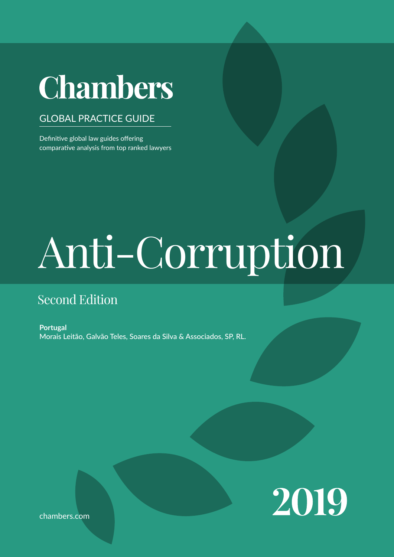# **Chambers**

#### GLOBAL PRACTICE GUIDE

Definitive global law guides offering comparative analysis from top ranked lawyers

# Anti-Corruption

### Second Edition

**Portugal** Morais Leitão, Galvão Teles, Soares da Silva & Associados, SP, RL.



chambers.com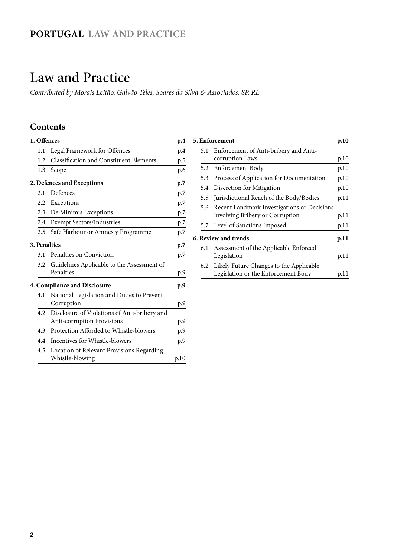## <span id="page-1-0"></span>Law and Practice

*Contributed by Morais Leitão, Galvão Teles, Soares da Silva & Associados, SP, RL.*

#### **Contents**

| 1. Offences<br>p.4 |                                                |      |  |  |
|--------------------|------------------------------------------------|------|--|--|
| 1.1                | Legal Framework for Offences                   | p.4  |  |  |
| 1.2                | <b>Classification and Constituent Elements</b> | p.5  |  |  |
| 1.3                | Scope                                          | p.6  |  |  |
|                    | 2. Defences and Exceptions                     | p.7  |  |  |
| 2.1                | Defences                                       | p.7  |  |  |
| $2.2^{\circ}$      | Exceptions                                     | p.7  |  |  |
|                    | 2.3 De Minimis Exceptions                      | p.7  |  |  |
| 2.4                | <b>Exempt Sectors/Industries</b>               | p.7  |  |  |
| 2.5                | Safe Harbour or Amnesty Programme              | p.7  |  |  |
|                    | <b>3. Penalties</b>                            | p.7  |  |  |
| 3.1                | Penalties on Conviction                        | p.7  |  |  |
| 3.2                | Guidelines Applicable to the Assessment of     |      |  |  |
|                    | Penalties                                      | p.9  |  |  |
|                    | <b>4. Compliance and Disclosure</b>            | p.9  |  |  |
| 4.1                | National Legislation and Duties to Prevent     |      |  |  |
|                    | Corruption                                     | p.9  |  |  |
| 4.2                | Disclosure of Violations of Anti-bribery and   |      |  |  |
|                    | Anti-corruption Provisions                     | p.9  |  |  |
| 4.3                | Protection Afforded to Whistle-blowers         | p.9  |  |  |
| 4.4                | Incentives for Whistle-blowers                 | p.9  |  |  |
| 4.5                | Location of Relevant Provisions Regarding      |      |  |  |
|                    | Whistle-blowing                                | p.10 |  |  |

|                             | 5. Enforcement                              | p.10 |  |
|-----------------------------|---------------------------------------------|------|--|
|                             | 5.1 Enforcement of Anti-bribery and Anti-   |      |  |
|                             | corruption Laws                             | p.10 |  |
|                             | 5.2 Enforcement Body                        | p.10 |  |
| 5.3                         | Process of Application for Documentation    | p.10 |  |
| 5.4                         | Discretion for Mitigation                   | p.10 |  |
| $5.5^{\circ}$               | Jurisdictional Reach of the Body/Bodies     | p.11 |  |
| 5.6                         | Recent Landmark Investigations or Decisions |      |  |
|                             | Involving Bribery or Corruption             | p.11 |  |
|                             | 5.7 Level of Sanctions Imposed              | p.11 |  |
| <b>6. Review and trends</b> |                                             |      |  |
| 6.1                         | Assessment of the Applicable Enforced       |      |  |
|                             | Legislation                                 | p.11 |  |
| 6.2                         | Likely Future Changes to the Applicable     |      |  |
|                             | Legislation or the Enforcement Body         | p.11 |  |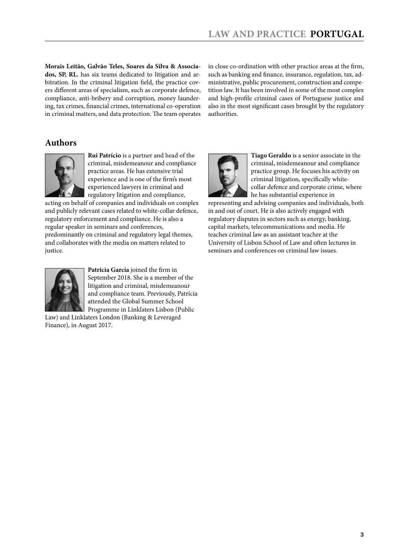**Morais Leitão, Galvão Teles, Soares da Silva & Associados, SP, RL.** has six teams dedicated to litigation and arbitration. In the criminal litigation field, the practice covers different areas of specialism, such as corporate defence, compliance, anti-bribery and corruption, money laundering, tax crimes, financial crimes, international co-operation in criminal matters, and data protection. The team operates in close co-ordination with other practice areas at the firm, such as banking and finance, insurance, regulation, tax, administrative, public procurement, construction and competition law. It has been involved in some of the most complex and high-profile criminal cases of Portuguese justice and also in the most significant cases brought by the regulatory authorities.

#### **Authors**



**Rui Patrício** is a partner and head of the criminal, misdemeanour and compliance practice areas. He has extensive trial experience and is one of the firm's most experienced lawyers in criminal and regulatory litigation and compliance,

acting on behalf of companies and individuals on complex and publicly relevant cases related to white-collar defence, regulatory enforcement and compliance. He is also a regular speaker in seminars and conferences, predominantly on criminal and regulatory legal themes, and collaborates with the media on matters related to justice.



**Patrícia Garcia** joined the firm in September 2018. She is a member of the litigation and criminal, misdemeanour and compliance team. Previously, Patrícia attended the Global Summer School Programme in Linklaters Lisbon (Public

Law) and Linklaters London (Banking & Leveraged Finance), in August 2017.



**Tiago Geraldo** is a senior associate in the criminal, misdemeanour and compliance practice group. He focuses his activity on criminal litigation, specifically whitecollar defence and corporate crime, where he has substantial experience in

representing and advising companies and individuals, both in and out of court. He is also actively engaged with regulatory disputes in sectors such as energy, banking, capital markets, telecommunications and media. He teaches criminal law as an assistant teacher at the University of Lisbon School of Law and often lectures in seminars and conferences on criminal law issues.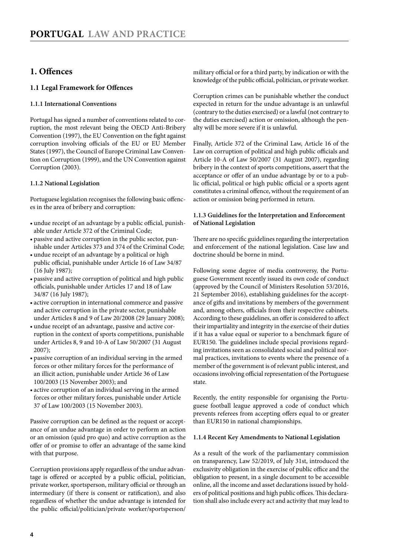#### <span id="page-3-0"></span>**1. Offences**

#### **1.1 Legal Framework for Offences**

#### **1.1.1 International Conventions**

Portugal has signed a number of conventions related to corruption, the most relevant being the OECD Anti-Bribery Convention (1997), the EU Convention on the fight against corruption involving officials of the EU or EU Member States (1997), the Council of Europe Criminal Law Convention on Corruption (1999), and the UN Convention against Corruption (2003).

#### **1.1.2 National Legislation**

Portuguese legislation recognises the following basic offences in the area of bribery and corruption:

- undue receipt of an advantage by a public official, punishable under Article 372 of the Criminal Code;
- • passive and active corruption in the public sector, punishable under Articles 373 and 374 of the Criminal Code;
- undue receipt of an advantage by a political or high public official, punishable under Article 16 of Law 34/87 (16 July 1987);
- • passive and active corruption of political and high public officials, punishable under Articles 17 and 18 of Law 34/87 (16 July 1987);
- active corruption in international commerce and passive and active corruption in the private sector, punishable under Articles 8 and 9 of Law 20/2008 (29 January 2008);
- undue receipt of an advantage, passive and active corruption in the context of sports competitions, punishable under Articles 8, 9 and 10-A of Law 50/2007 (31 August 2007);
- • passive corruption of an individual serving in the armed forces or other military forces for the performance of an illicit action, punishable under Article 36 of Law 100/2003 (15 November 2003); and
- • active corruption of an individual serving in the armed forces or other military forces, punishable under Article 37 of Law 100/2003 (15 November 2003).

Passive corruption can be defined as the request or acceptance of an undue advantage in order to perform an action or an omission (quid pro quo) and active corruption as the offer of or promise to offer an advantage of the same kind with that purpose.

Corruption provisions apply regardless of the undue advantage is offered or accepted by a public official, politician, private worker, sportsperson, military official or through an intermediary (if there is consent or ratification), and also regardless of whether the undue advantage is intended for the public official/politician/private worker/sportsperson/ military official or for a third party, by indication or with the knowledge of the public official, politician, or private worker.

Corruption crimes can be punishable whether the conduct expected in return for the undue advantage is an unlawful (contrary to the duties exercised) or a lawful (not contrary to the duties exercised) action or omission, although the penalty will be more severe if it is unlawful.

Finally, Article 372 of the Criminal Law, Article 16 of the Law on corruption of political and high public officials and Article 10-A of Law 50/2007 (31 August 2007), regarding bribery in the context of sports competitions, assert that the acceptance or offer of an undue advantage by or to a public official, political or high public official or a sports agent constitutes a criminal offence, without the requirement of an action or omission being performed in return.

#### **1.1.3 Guidelines for the Interpretation and Enforcement of National Legislation**

There are no specific guidelines regarding the interpretation and enforcement of the national legislation. Case law and doctrine should be borne in mind.

Following some degree of media controversy, the Portuguese Government recently issued its own code of conduct (approved by the Council of Ministers Resolution 53/2016, 21 September 2016), establishing guidelines for the acceptance of gifts and invitations by members of the government and, among others, officials from their respective cabinets. According to these guidelines, an offer is considered to affect their impartiality and integrity in the exercise of their duties if it has a value equal or superior to a benchmark figure of EUR150. The guidelines include special provisions regarding invitations seen as consolidated social and political normal practices, invitations to events where the presence of a member of the government is of relevant public interest, and occasions involving official representation of the Portuguese state.

Recently, the entity responsible for organising the Portuguese football league approved a code of conduct which prevents referees from accepting offers equal to or greater than EUR150 in national championships.

#### **1.1.4 Recent Key Amendments to National Legislation**

As a result of the work of the parliamentary commission on transparency, Law 52/2019, of July 31st, introduced the exclusivity obligation in the exercise of public office and the obligation to present, in a single document to be accessible online, all the income and asset declarations issued by holders of political positions and high public offices. This declaration shall also include every act and activity that may lead to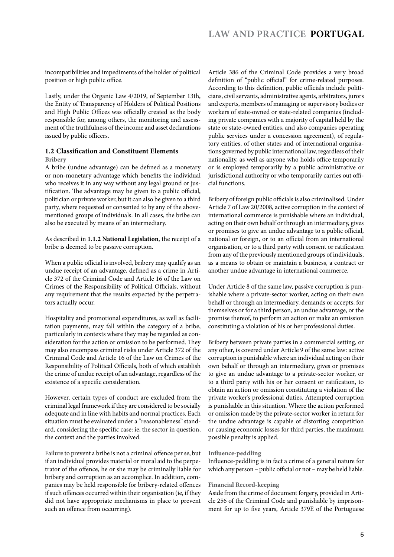<span id="page-4-0"></span>incompatibilities and impediments of the holder of political position or high public office.

Lastly, under the Organic Law 4/2019, of September 13th, the Entity of Transparency of Holders of Political Positions and High Public Offices was officially created as the body responsible for, among others, the monitoring and assessment of the truthfulness of the income and asset declarations issued by public officers.

#### **1.2 Classification and Constituent Elements Bribery**

A bribe (undue advantage) can be defined as a monetary or non-monetary advantage which benefits the individual who receives it in any way without any legal ground or justification. The advantage may be given to a public official, politician or private worker, but it can also be given to a third party, where requested or consented to by any of the abovementioned groups of individuals. In all cases, the bribe can also be executed by means of an intermediary.

As described in **1.1.2 National Legislation**, the receipt of a bribe is deemed to be passive corruption.

When a public official is involved, bribery may qualify as an undue receipt of an advantage, defined as a crime in Article 372 of the Criminal Code and Article 16 of the Law on Crimes of the Responsibility of Political Officials, without any requirement that the results expected by the perpetrators actually occur.

Hospitality and promotional expenditures, as well as facilitation payments, may fall within the category of a bribe, particularly in contexts where they may be regarded as consideration for the action or omission to be performed. They may also encompass criminal risks under Article 372 of the Criminal Code and Article 16 of the Law on Crimes of the Responsibility of Political Officials, both of which establish the crime of undue receipt of an advantage, regardless of the existence of a specific consideration.

However, certain types of conduct are excluded from the criminal legal framework if they are considered to be socially adequate and in line with habits and normal practices. Each situation must be evaluated under a "reasonableness" standard, considering the specific case: ie, the sector in question, the context and the parties involved.

Failure to prevent a bribe is not a criminal offence per se, but if an individual provides material or moral aid to the perpetrator of the offence, he or she may be criminally liable for bribery and corruption as an accomplice. In addition, companies may be held responsible for bribery-related offences if such offences occurred within their organisation (ie, if they did not have appropriate mechanisms in place to prevent such an offence from occurring).

Article 386 of the Criminal Code provides a very broad definition of "public official" for crime-related purposes. According to this definition, public officials include politicians, civil servants, administrative agents, arbitrators, jurors and experts, members of managing or supervisory bodies or workers of state-owned or state-related companies (including private companies with a majority of capital held by the state or state-owned entities, and also companies operating public services under a concession agreement), of regulatory entities, of other states and of international organisations governed by public international law, regardless of their nationality, as well as anyone who holds office temporarily or is employed temporarily by a public administrative or jurisdictional authority or who temporarily carries out official functions.

Bribery of foreign public officials is also criminalised. Under Article 7 of Law 20/2008, active corruption in the context of international commerce is punishable where an individual, acting on their own behalf or through an intermediary, gives or promises to give an undue advantage to a public official, national or foreign, or to an official from an international organisation, or to a third party with consent or ratification from any of the previously mentioned groups of individuals, as a means to obtain or maintain a business, a contract or another undue advantage in international commerce.

Under Article 8 of the same law, passive corruption is punishable where a private-sector worker, acting on their own behalf or through an intermediary, demands or accepts, for themselves or for a third person, an undue advantage, or the promise thereof, to perform an action or make an omission constituting a violation of his or her professional duties.

Bribery between private parties in a commercial setting, or any other, is covered under Article 9 of the same law: active corruption is punishable where an individual acting on their own behalf or through an intermediary, gives or promises to give an undue advantage to a private-sector worker, or to a third party with his or her consent or ratification, to obtain an action or omission constituting a violation of the private worker's professional duties. Attempted corruption is punishable in this situation. Where the action performed or omission made by the private-sector worker in return for the undue advantage is capable of distorting competition or causing economic losses for third parties, the maximum possible penalty is applied.

#### **Influence-peddling**

Influence-peddling is in fact a crime of a general nature for which any person – public official or not – may be held liable.

#### **Financial Record-keeping**

Aside from the crime of document forgery, provided in Article 256 of the Criminal Code and punishable by imprisonment for up to five years, Article 379E of the Portuguese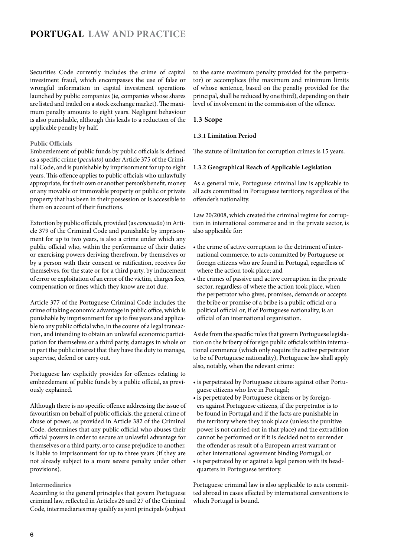<span id="page-5-0"></span>Securities Code currently includes the crime of capital investment fraud, which encompasses the use of false or wrongful information in capital investment operations launched by public companies (ie, companies whose shares are listed and traded on a stock exchange market). The maximum penalty amounts to eight years. Negligent behaviour is also punishable, although this leads to a reduction of the applicable penalty by half.

#### **Public Officials**

Embezzlement of public funds by public officials is defined as a specific crime (*peculato*) under Article 375 of the Criminal Code, and is punishable by imprisonment for up to eight years. This offence applies to public officials who unlawfully appropriate, for their own or another person's benefit, money or any movable or immovable property or public or private property that has been in their possession or is accessible to them on account of their functions.

Extortion by public officials, provided (as *concussão*) in Article 379 of the Criminal Code and punishable by imprisonment for up to two years, is also a crime under which any public official who, within the performance of their duties or exercising powers deriving therefrom, by themselves or by a person with their consent or ratification, receives for themselves, for the state or for a third party, by inducement of error or exploitation of an error of the victim, charges fees, compensation or fines which they know are not due.

Article 377 of the Portuguese Criminal Code includes the crime of taking economic advantage in public office, which is punishable by imprisonment for up to five years and applicable to any public official who, in the course of a legal transaction, and intending to obtain an unlawful economic participation for themselves or a third party, damages in whole or in part the public interest that they have the duty to manage, supervise, defend or carry out.

Portuguese law explicitly provides for offences relating to embezzlement of public funds by a public official, as previously explained.

Although there is no specific offence addressing the issue of favouritism on behalf of public officials, the general crime of abuse of power, as provided in Article 382 of the Criminal Code, determines that any public official who abuses their official powers in order to secure an unlawful advantage for themselves or a third party, or to cause prejudice to another, is liable to imprisonment for up to three years (if they are not already subject to a more severe penalty under other provisions).

#### **Intermediaries**

According to the general principles that govern Portuguese criminal law, reflected in Articles 26 and 27 of the Criminal Code, intermediaries may qualify as joint principals (subject

to the same maximum penalty provided for the perpetrator) or accomplices (the maximum and minimum limits of whose sentence, based on the penalty provided for the principal, shall be reduced by one third), depending on their level of involvement in the commission of the offence.

#### **1.3 Scope**

#### **1.3.1 Limitation Period**

The statute of limitation for corruption crimes is 15 years.

#### **1.3.2 Geographical Reach of Applicable Legislation**

As a general rule, Portuguese criminal law is applicable to all acts committed in Portuguese territory, regardless of the offender's nationality.

Law 20/2008, which created the criminal regime for corruption in international commerce and in the private sector, is also applicable for:

- the crime of active corruption to the detriment of international commerce, to acts committed by Portuguese or foreign citizens who are found in Portugal, regardless of where the action took place; and
- the crimes of passive and active corruption in the private sector, regardless of where the action took place, when the perpetrator who gives, promises, demands or accepts the bribe or promise of a bribe is a public official or a political official or, if of Portuguese nationality, is an official of an international organisation.

Aside from the specific rules that govern Portuguese legislation on the bribery of foreign public officials within international commerce (which only require the active perpetrator to be of Portuguese nationality), Portuguese law shall apply also, notably, when the relevant crime:

- is perpetrated by Portuguese citizens against other Portuguese citizens who live in Portugal;
- is perpetrated by Portuguese citizens or by foreigners against Portuguese citizens, if the perpetrator is to be found in Portugal and if the facts are punishable in the territory where they took place (unless the punitive power is not carried out in that place) and the extradition cannot be performed or if it is decided not to surrender the offender as result of a European arrest warrant or other international agreement binding Portugal; or
- is perpetrated by or against a legal person with its headquarters in Portuguese territory.

Portuguese criminal law is also applicable to acts committed abroad in cases affected by international conventions to which Portugal is bound.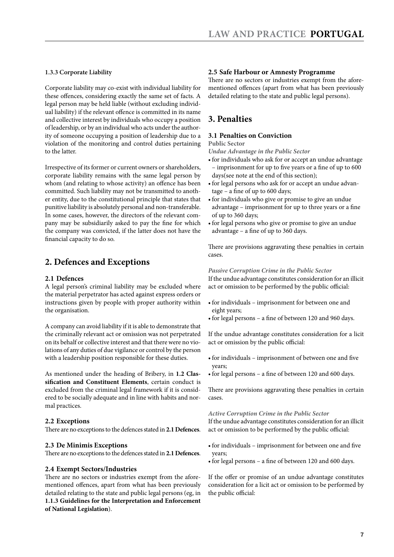#### <span id="page-6-0"></span>**1.3.3 Corporate Liability**

Corporate liability may co-exist with individual liability for these offences, considering exactly the same set of facts. A legal person may be held liable (without excluding individual liability) if the relevant offence is committed in its name and collective interest by individuals who occupy a position of leadership, or by an individual who acts under the authority of someone occupying a position of leadership due to a violation of the monitoring and control duties pertaining to the latter.

Irrespective of its former or current owners or shareholders, corporate liability remains with the same legal person by whom (and relating to whose activity) an offence has been committed. Such liability may not be transmitted to another entity, due to the constitutional principle that states that punitive liability is absolutely personal and non-transferable. In some cases, however, the directors of the relevant company may be subsidiarily asked to pay the fine for which the company was convicted, if the latter does not have the financial capacity to do so.

#### **2. Defences and Exceptions**

#### **2.1 Defences**

A legal person's criminal liability may be excluded where the material perpetrator has acted against express orders or instructions given by people with proper authority within the organisation.

A company can avoid liability if it is able to demonstrate that the criminally relevant act or omission was not perpetrated on its behalf or collective interest and that there were no violations of any duties of due vigilance or control by the person with a leadership position responsible for these duties.

As mentioned under the heading of Bribery, in **1.2 Classification and Constituent Elements**, certain conduct is excluded from the criminal legal framework if it is considered to be socially adequate and in line with habits and normal practices.

#### **2.2 Exceptions**

There are no exceptions to the defences stated in **2.1 Defences**.

#### **2.3 De Minimis Exceptions**

There are no exceptions to the defences stated in **2.1 Defences**.

#### **2.4 Exempt Sectors/Industries**

There are no sectors or industries exempt from the aforementioned offences, apart from what has been previously detailed relating to the state and public legal persons (eg, in **1.1.3 Guidelines for the Interpretation and Enforcement of National Legislation**).

#### **2.5 Safe Harbour or Amnesty Programme**

There are no sectors or industries exempt from the aforementioned offences (apart from what has been previously detailed relating to the state and public legal persons).

#### **3. Penalties**

#### **3.1 Penalties on Conviction**

#### **Public Sector**

*Undue Advantage in the Public Sector*

- • for individuals who ask for or accept an undue advantage – imprisonment for up to five years or a fine of up to 600 days(see note at the end of this section);
- for legal persons who ask for or accept an undue advantage – a fine of up to 600 days;
- for individuals who give or promise to give an undue advantage – imprisonment for up to three years or a fine of up to 360 days;
- • for legal persons who give or promise to give an undue advantage – a fine of up to 360 days.

There are provisions aggravating these penalties in certain cases.

*Passive Corruption Crime in the Public Sector* If the undue advantage constitutes consideration for an illicit act or omission to be performed by the public official:

- • for individuals imprisonment for between one and eight years;
- for legal persons a fine of between 120 and 960 days.

If the undue advantage constitutes consideration for a licit act or omission by the public official:

- for individuals imprisonment of between one and five years;
- for legal persons a fine of between 120 and 600 days.

There are provisions aggravating these penalties in certain cases.

#### *Active Corruption Crime in the Public Sector*

If the undue advantage constitutes consideration for an illicit act or omission to be performed by the public official:

- • for individuals imprisonment for between one and five years;
- for legal persons a fine of between 120 and 600 days.

If the offer or promise of an undue advantage constitutes consideration for a licit act or omission to be performed by the public official: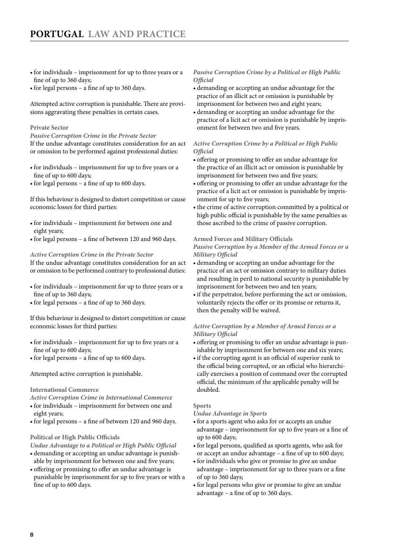- for individuals imprisonment for up to three years or a fine of up to 360 days;
- for legal persons a fine of up to 360 days.

Attempted active corruption is punishable. There are provisions aggravating these penalties in certain cases.

#### **Private Sector**

*Passive Corruption Crime in the Private Sector* If the undue advantage constitutes consideration for an act or omission to be performed against professional duties:

- for individuals imprisonment for up to five years or a fine of up to 600 days;
- • for legal persons a fine of up to 600 days.

If this behaviour is designed to distort competition or cause economic losses for third parties:

- • for individuals imprisonment for between one and eight years;
- for legal persons a fine of between 120 and 960 days.

#### *Active Corruption Crime in the Private Sector*

If the undue advantage constitutes consideration for an act or omission to be performed contrary to professional duties:

- for individuals imprisonment for up to three years or a fine of up to 360 days;
- for legal persons a fine of up to 360 days.

If this behaviour is designed to distort competition or cause economic losses for third parties:

- for individuals imprisonment for up to five years or a fine of up to 600 days;
- • for legal persons a fine of up to 600 days.

Attempted active corruption is punishable.

#### **International Commerce**

*Active Corruption Crime in International Commerce*

- • for individuals imprisonment for between one and eight years;
- for legal persons a fine of between 120 and 960 days.

#### **Political or High Public Officials**

*Undue Advantage to a Political or High Public Official*

- • demanding or accepting an undue advantage is punishable by imprisonment for between one and five years;
- • offering or promising to offer an undue advantage is punishable by imprisonment for up to five years or with a fine of up to 600 days.

#### *Passive Corruption Crime by a Political or High Public Official*

- • demanding or accepting an undue advantage for the practice of an illicit act or omission is punishable by imprisonment for between two and eight years;
- • demanding or accepting an undue advantage for the practice of a licit act or omission is punishable by imprisonment for between two and five years.

#### *Active Corruption Crime by a Political or High Public Official*

- • offering or promising to offer an undue advantage for the practice of an illicit act or omission is punishable by imprisonment for between two and five years;
- • offering or promising to offer an undue advantage for the practice of a licit act or omission is punishable by imprisonment for up to five years;
- the crime of active corruption committed by a political or high public official is punishable by the same penalties as those ascribed to the crime of passive corruption.

#### **Armed Forces and Military Officials**

*Passive Corruption by a Member of the Armed Forces or a Military Official*

- • demanding or accepting an undue advantage for the practice of an act or omission contrary to military duties and resulting in peril to national security is punishable by imprisonment for between two and ten years;
- if the perpetrator, before performing the act or omission, voluntarily rejects the offer or its promise or returns it, then the penalty will be waived.

#### *Active Corruption by a Member of Armed Forces or a Military Official*

- • offering or promising to offer an undue advantage is punishable by imprisonment for between one and six years;
- if the corrupting agent is an official of superior rank to the official being corrupted, or an official who hierarchically exercises a position of command over the corrupted official, the minimum of the applicable penalty will be doubled.

#### **Sports**

*Undue Advantage in Sports*

- • for a sports agent who asks for or accepts an undue advantage – imprisonment for up to five years or a fine of up to 600 days;
- for legal persons, qualified as sports agents, who ask for or accept an undue advantage – a fine of up to 600 days;
- • for individuals who give or promise to give an undue advantage – imprisonment for up to three years or a fine of up to 360 days;
- • for legal persons who give or promise to give an undue advantage – a fine of up to 360 days.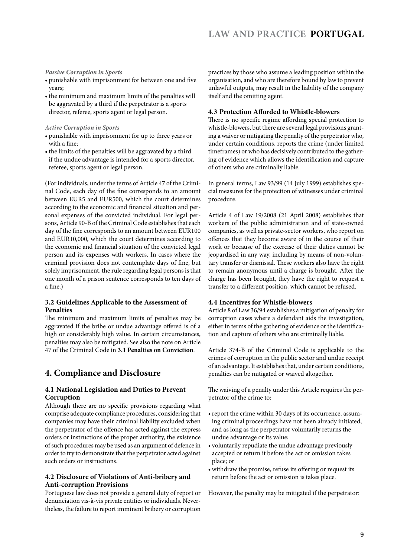#### <span id="page-8-0"></span>*Passive Corruption in Sports*

- • punishable with imprisonment for between one and five years;
- the minimum and maximum limits of the penalties will be aggravated by a third if the perpetrator is a sports director, referee, sports agent or legal person.

*Active Corruption in Sports*

- • punishable with imprisonment for up to three years or with a fine;
- the limits of the penalties will be aggravated by a third if the undue advantage is intended for a sports director, referee, sports agent or legal person.

(For individuals, under the terms of Article 47 of the Criminal Code, each day of the fine corresponds to an amount between EUR5 and EUR500, which the court determines according to the economic and financial situation and personal expenses of the convicted individual. For legal persons, Article 90-B of the Criminal Code establishes that each day of the fine corresponds to an amount between EUR100 and EUR10,000, which the court determines according to the economic and financial situation of the convicted legal person and its expenses with workers. In cases where the criminal provision does not contemplate days of fine, but solely imprisonment, the rule regarding legal persons is that one month of a prison sentence corresponds to ten days of a fine.)

#### **3.2 Guidelines Applicable to the Assessment of Penalties**

The minimum and maximum limits of penalties may be aggravated if the bribe or undue advantage offered is of a high or considerably high value. In certain circumstances, penalties may also be mitigated. See also the note on Article 47 of the Criminal Code in **3.1 Penalties on Conviction**.

#### **4. Compliance and Disclosure**

#### **4.1 National Legislation and Duties to Prevent Corruption**

Although there are no specific provisions regarding what comprise adequate compliance procedures, considering that companies may have their criminal liability excluded when the perpetrator of the offence has acted against the express orders or instructions of the proper authority, the existence of such procedures may be used as an argument of defence in order to try to demonstrate that the perpetrator acted against such orders or instructions.

#### **4.2 Disclosure of Violations of Anti-bribery and Anti-corruption Provisions**

Portuguese law does not provide a general duty of report or denunciation vis-à-vis private entities or individuals. Nevertheless, the failure to report imminent bribery or corruption practices by those who assume a leading position within the organisation, and who are therefore bound by law to prevent unlawful outputs, may result in the liability of the company itself and the omitting agent.

#### **4.3 Protection Afforded to Whistle-blowers**

There is no specific regime affording special protection to whistle-blowers, but there are several legal provisions granting a waiver or mitigating the penalty of the perpetrator who, under certain conditions, reports the crime (under limited timeframes) or who has decisively contributed to the gathering of evidence which allows the identification and capture of others who are criminally liable.

In general terms, Law 93/99 (14 July 1999) establishes special measures for the protection of witnesses under criminal procedure.

Article 4 of Law 19/2008 (21 April 2008) establishes that workers of the public administration and of state-owned companies, as well as private-sector workers, who report on offences that they become aware of in the course of their work or because of the exercise of their duties cannot be jeopardised in any way, including by means of non-voluntary transfer or dismissal. These workers also have the right to remain anonymous until a charge is brought. After the charge has been brought, they have the right to request a transfer to a different position, which cannot be refused.

#### **4.4 Incentives for Whistle-blowers**

Article 8 of Law 36/94 establishes a mitigation of penalty for corruption cases where a defendant aids the investigation, either in terms of the gathering of evidence or the identification and capture of others who are criminally liable.

Article 374-B of the Criminal Code is applicable to the crimes of corruption in the public sector and undue receipt of an advantage. It establishes that, under certain conditions, penalties can be mitigated or waived altogether.

The waiving of a penalty under this Article requires the perpetrator of the crime to:

- report the crime within 30 days of its occurrence, assuming criminal proceedings have not been already initiated, and as long as the perpetrator voluntarily returns the undue advantage or its value;
- • voluntarily repudiate the undue advantage previously accepted or return it before the act or omission takes place; or
- • withdraw the promise, refuse its offering or request its return before the act or omission is takes place.

However, the penalty may be mitigated if the perpetrator: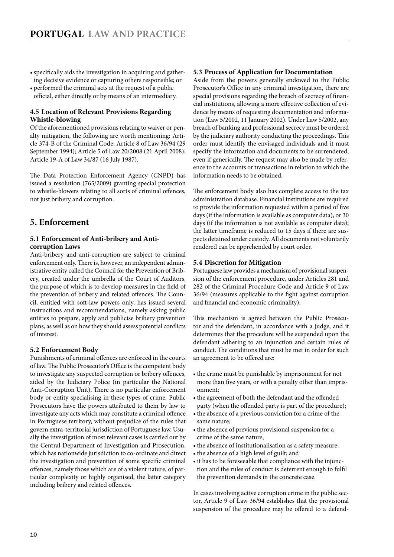- <span id="page-9-0"></span>• specifically aids the investigation in acquiring and gathering decisive evidence or capturing others responsible; or
- performed the criminal acts at the request of a public official, either directly or by means of an intermediary.

#### **4.5 Location of Relevant Provisions Regarding Whistle-blowing**

Of the aforementioned provisions relating to waiver or penalty mitigation, the following are worth mentioning: Article 374-B of the Criminal Code; Article 8 of Law 36/94 (29 September 1994); Article 5 of Law 20/2008 (21 April 2008); Article 19-A of Law 34/87 (16 July 1987).

The Data Protection Enforcement Agency (CNPD) has issued a resolution (765/2009) granting special protection to whistle-blowers relating to all sorts of criminal offences, not just bribery and corruption.

#### **5. Enforcement**

#### **5.1 Enforcement of Anti-bribery and Anticorruption Laws**

Anti-bribery and anti-corruption are subject to criminal enforcement only. There is, however, an independent administrative entity called the Council for the Prevention of Bribery, created under the umbrella of the Court of Auditors, the purpose of which is to develop measures in the field of the prevention of bribery and related offences. The Council, entitled with soft-law powers only, has issued several instructions and recommendations, namely asking public entities to prepare, apply and publicise bribery prevention plans, as well as on how they should assess potential conflicts of interest.

#### **5.2 Enforcement Body**

Punishments of criminal offences are enforced in the courts of law. The Public Prosecutor's Office is the competent body to investigate any suspected corruption or bribery offences, aided by the Judiciary Police (in particular the National Anti-Corruption Unit). There is no particular enforcement body or entity specialising in these types of crime. Public Prosecutors have the powers attributed to them by law to investigate any acts which may constitute a criminal offence in Portuguese territory, without prejudice of the rules that govern extra-territorial jurisdiction of Portuguese law. Usually the investigation of most relevant cases is carried out by the Central Department of Investigation and Prosecution, which has nationwide jurisdiction to co-ordinate and direct the investigation and prevention of some specific criminal offences, namely those which are of a violent nature, of particular complexity or highly organised, the latter category including bribery and related offences.

#### **5.3 Process of Application for Documentation**

Aside from the powers generally endowed to the Public Prosecutor's Office in any criminal investigation, there are special provisions regarding the breach of secrecy of financial institutions, allowing a more effective collection of evidence by means of requesting documentation and information (Law 5/2002, 11 January 2002). Under Law 5/2002, any breach of banking and professional secrecy must be ordered by the judiciary authority conducting the proceedings. This order must identify the envisaged individuals and it must specify the information and documents to be surrendered, even if generically. The request may also be made by reference to the accounts or transactions in relation to which the information needs to be obtained.

The enforcement body also has complete access to the tax administration database. Financial institutions are required to provide the information requested within a period of five days (if the information is available as computer data), or 30 days (if the information is not available as computer data); the latter timeframe is reduced to 15 days if there are suspects detained under custody. All documents not voluntarily rendered can be apprehended by court order.

#### **5.4 Discretion for Mitigation**

Portuguese law provides a mechanism of provisional suspension of the enforcement procedure, under Articles 281 and 282 of the Criminal Procedure Code and Article 9 of Law 36/94 (measures applicable to the fight against corruption and financial and economic criminality).

This mechanism is agreed between the Public Prosecutor and the defendant, in accordance with a judge, and it determines that the procedure will be suspended upon the defendant adhering to an injunction and certain rules of conduct. The conditions that must be met in order for such an agreement to be offered are:

- the crime must be punishable by imprisonment for not more than five years, or with a penalty other than imprisonment;
- the agreement of both the defendant and the offended party (when the offended party is part of the procedure);
- the absence of a previous conviction for a crime of the same nature;
- the absence of previous provisional suspension for a crime of the same nature;
- the absence of institutionalisation as a safety measure;
- the absence of a high level of guilt; and
- it has to be foreseeable that compliance with the injunction and the rules of conduct is deterrent enough to fulfil the prevention demands in the concrete case.

In cases involving active corruption crime in the public sector, Article 9 of Law 36/94 establishes that the provisional suspension of the procedure may be offered to a defend